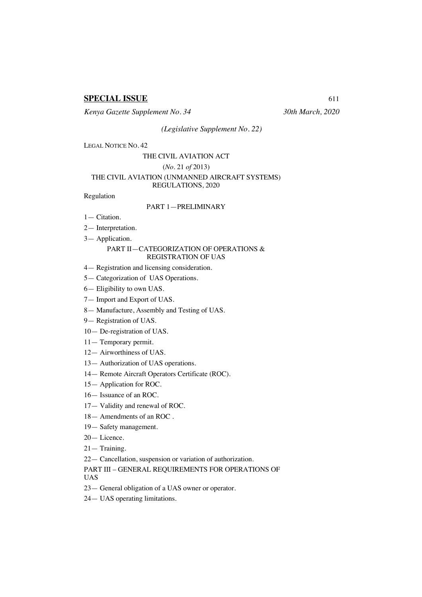# **SPECIAL ISSUE** 611

*Kenya Gazette Supplement No. 34 30th March, 2020*

*(Legislative Supplement No. 22)*

LEGAL NOTICE NO. 42

# THE CIVIL AVIATION ACT

# (*No*. 21 *of* 2013)

#### THE CIVIL AVIATION (UNMANNED AIRCRAFT SYSTEMS) REGULATIONS, 2020

Regulation

#### PART 1—PRELIMINARY

- 1— Citation.
- 2— Interpretation.
- 3— Application.

### PART II—CATEGORIZATION OF OPERATIONS & REGISTRATION OF UAS

- 4— Registration and licensing consideration.
- 5— Categorization of UAS Operations.
- 6— Eligibility to own UAS.
- 7— Import and Export of UAS.
- 8— Manufacture, Assembly and Testing of UAS.
- 9— Registration of UAS.
- 10— De-registration of UAS.
- 11— Temporary permit.
- 12— Airworthiness of UAS.
- 13— Authorization of UAS operations.
- 14— Remote Aircraft Operators Certificate (ROC).
- 15— Application for ROC.
- 16— Issuance of an ROC.
- 17— Validity and renewal of ROC.
- 18— Amendments of an ROC .
- 19— Safety management.
- 20— Licence.
- 21— Training.
- 22— Cancellation, suspension or variation of authorization.

PART III – GENERAL REQUIREMENTS FOR OPERATIONS OF UAS

- 23— General obligation of a UAS owner or operator.
- 24— UAS operating limitations.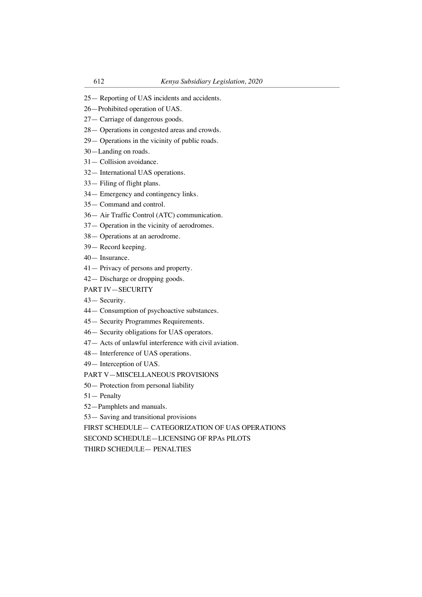- 25— Reporting of UAS incidents and accidents.
- 26—Prohibited operation of UAS.
- 27— Carriage of dangerous goods.
- 28— Operations in congested areas and crowds.
- 29— Operations in the vicinity of public roads.
- 30—Landing on roads.
- 31— Collision avoidance.
- 32— International UAS operations.
- 33— Filing of flight plans.
- 34— Emergency and contingency links.
- 35— Command and control.
- 36— Air Traffic Control (ATC) communication.
- 37— Operation in the vicinity of aerodromes.
- 38— Operations at an aerodrome.
- 39— Record keeping.
- 40— Insurance.
- 41— Privacy of persons and property.
- 42— Discharge or dropping goods.
- PART IV—SECURITY
- 43— Security.
- 44— Consumption of psychoactive substances.
- 45— Security Programmes Requirements.
- 46— Security obligations for UAS operators.
- 47— Acts of unlawful interference with civil aviation.
- 48— Interference of UAS operations.
- 49— Interception of UAS.

PART V—MISCELLANEOUS PROVISIONS

- 50— Protection from personal liability
- 51— Penalty
- 52—Pamphlets and manuals.
- 53— Saving and transitional provisions

FIRST SCHEDULE— CATEGORIZATION OF UAS OPERATIONS

SECOND SCHEDULE—LICENSING OF RPAs PILOTS

THIRD SCHEDULE— PENALTIES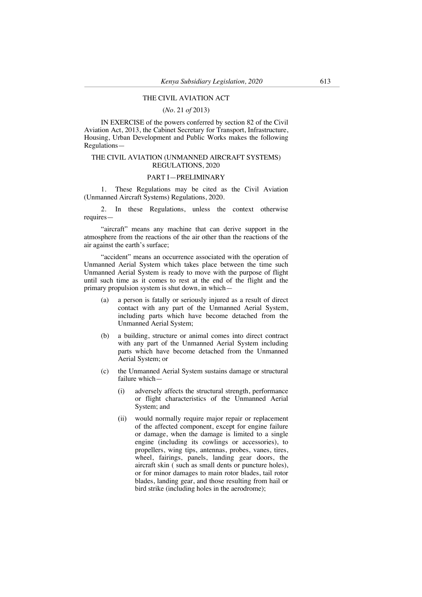#### THE CIVIL AVIATION ACT

#### (*No.* 21 *of* 2013)

IN EXERCISE of the powers conferred by section 82 of the Civil Aviation Act, 2013, the Cabinet Secretary for Transport, Infrastructure, Housing, Urban Development and Public Works makes the following Regulations—

#### THE CIVIL AVIATION (UNMANNED AIRCRAFT SYSTEMS) REGULATIONS, 2020

## PART I—PRELIMINARY

1. These Regulations may be cited as the Civil Aviation (Unmanned Aircraft Systems) Regulations, 2020.

2. In these Regulations, unless the context otherwise requires—

"aircraft" means any machine that can derive support in the atmosphere from the reactions of the air other than the reactions of the air against the earth's surface;

"accident" means an occurrence associated with the operation of Unmanned Aerial System which takes place between the time such Unmanned Aerial System is ready to move with the purpose of flight until such time as it comes to rest at the end of the flight and the primary propulsion system is shut down, in which—

- (a) a person is fatally or seriously injured as a result of direct contact with any part of the Unmanned Aerial System, including parts which have become detached from the Unmanned Aerial System;
- (b) a building, structure or animal comes into direct contract with any part of the Unmanned Aerial System including parts which have become detached from the Unmanned Aerial System; or
- (c) the Unmanned Aerial System sustains damage or structural failure which—
	- (i) adversely affects the structural strength, performance or flight characteristics of the Unmanned Aerial System; and
	- (ii) would normally require major repair or replacement of the affected component, except for engine failure or damage, when the damage is limited to a single engine (including its cowlings or accessories), to propellers, wing tips, antennas, probes, vanes, tires, wheel, fairings, panels, landing gear doors, the aircraft skin ( such as small dents or puncture holes), or for minor damages to main rotor blades, tail rotor blades, landing gear, and those resulting from hail or bird strike (including holes in the aerodrome);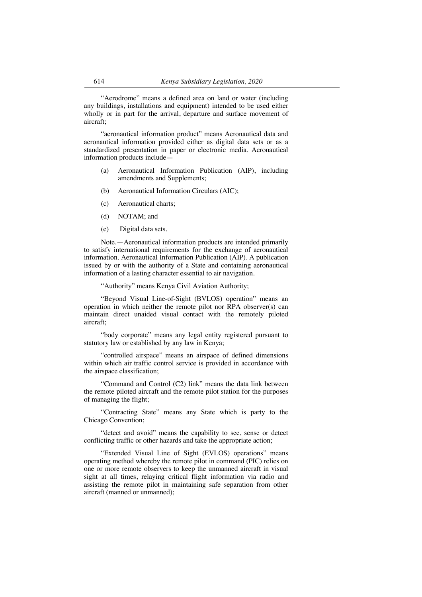"Aerodrome" means a defined area on land or water (including any buildings, installations and equipment) intended to be used either wholly or in part for the arrival, departure and surface movement of aircraft;

"aeronautical information product" means Aeronautical data and aeronautical information provided either as digital data sets or as a standardized presentation in paper or electronic media. Aeronautical information products include—

- (a) Aeronautical Information Publication (AIP), including amendments and Supplements;
- (b) Aeronautical Information Circulars (AIC);
- (c) Aeronautical charts;
- (d) NOTAM; and
- (e) Digital data sets.

Note.—Aeronautical information products are intended primarily to satisfy international requirements for the exchange of aeronautical information. Aeronautical Information Publication (AIP). A publication issued by or with the authority of a State and containing aeronautical information of a lasting character essential to air navigation.

"Authority" means Kenya Civil Aviation Authority;

"Beyond Visual Line-of-Sight (BVLOS) operation" means an operation in which neither the remote pilot nor RPA observer(s) can maintain direct unaided visual contact with the remotely piloted aircraft;

"body corporate" means any legal entity registered pursuant to statutory law or established by any law in Kenya;

"controlled airspace" means an airspace of defined dimensions within which air traffic control service is provided in accordance with the airspace classification;

"Command and Control (C2) link" means the data link between the remote piloted aircraft and the remote pilot station for the purposes of managing the flight;

"Contracting State" means any State which is party to the Chicago Convention;

"detect and avoid" means the capability to see, sense or detect conflicting traffic or other hazards and take the appropriate action;

"Extended Visual Line of Sight (EVLOS) operations" means operating method whereby the remote pilot in command (PIC) relies on one or more remote observers to keep the unmanned aircraft in visual sight at all times, relaying critical flight information via radio and assisting the remote pilot in maintaining safe separation from other aircraft (manned or unmanned);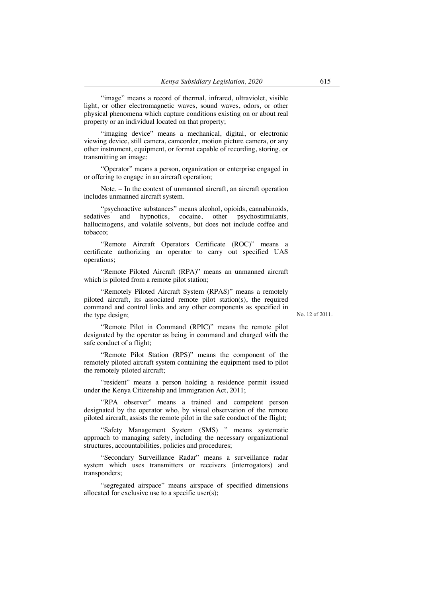"image" means a record of thermal, infrared, ultraviolet, visible light, or other electromagnetic waves, sound waves, odors, or other physical phenomena which capture conditions existing on or about real property or an individual located on that property;

"imaging device" means a mechanical, digital, or electronic viewing device, still camera, camcorder, motion picture camera, or any other instrument, equipment, or format capable of recording, storing, or transmitting an image;

"Operator" means a person, organization or enterprise engaged in or offering to engage in an aircraft operation;

Note. – In the context of unmanned aircraft, an aircraft operation includes unmanned aircraft system.

"psychoactive substances" means alcohol, opioids, cannabinoids, sedatives and hypnotics, cocaine, other psychostimulants, hallucinogens, and volatile solvents, but does not include coffee and tobacco;

"Remote Aircraft Operators Certificate (ROC)" means a certificate authorizing an operator to carry out specified UAS operations;

"Remote Piloted Aircraft (RPA)" means an unmanned aircraft which is piloted from a remote pilot station;

"Remotely Piloted Aircraft System (RPAS)" means a remotely piloted aircraft, its associated remote pilot station(s), the required command and control links and any other components as specified in the type design;

No. 12 of 2011.

"Remote Pilot in Command (RPIC)" means the remote pilot designated by the operator as being in command and charged with the safe conduct of a flight;

"Remote Pilot Station (RPS)" means the component of the remotely piloted aircraft system containing the equipment used to pilot the remotely piloted aircraft;

"resident" means a person holding a residence permit issued under the Kenya Citizenship and Immigration Act, 2011;

"RPA observer" means a trained and competent person designated by the operator who, by visual observation of the remote piloted aircraft, assists the remote pilot in the safe conduct of the flight;

"Safety Management System (SMS) " means systematic approach to managing safety, including the necessary organizational structures, accountabilities, policies and procedures;

"Secondary Surveillance Radar" means a surveillance radar system which uses transmitters or receivers (interrogators) and transponders;

"segregated airspace" means airspace of specified dimensions allocated for exclusive use to a specific user(s);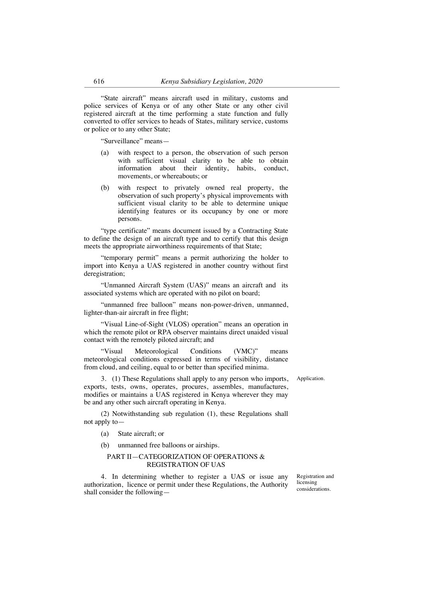"State aircraft" means aircraft used in military, customs and police services of Kenya or of any other State or any other civil registered aircraft at the time performing a state function and fully converted to offer services to heads of States, military service, customs or police or to any other State;

"Surveillance" means—

- with respect to a person, the observation of such person with sufficient visual clarity to be able to obtain information about their identity, habits, conduct, movements, or whereabouts; or
- (b) with respect to privately owned real property, the observation of such property's physical improvements with sufficient visual clarity to be able to determine unique identifying features or its occupancy by one or more persons.

"type certificate" means document issued by a Contracting State to define the design of an aircraft type and to certify that this design meets the appropriate airworthiness requirements of that State;

"temporary permit" means a permit authorizing the holder to import into Kenya a UAS registered in another country without first deregistration;

"Unmanned Aircraft System (UAS)" means an aircraft and its associated systems which are operated with no pilot on board;

"unmanned free balloon" means non-power-driven, unmanned, lighter-than-air aircraft in free flight;

"Visual Line-of-Sight (VLOS) operation" means an operation in which the remote pilot or RPA observer maintains direct unaided visual contact with the remotely piloted aircraft; and

"Visual Meteorological Conditions (VMC)" means meteorological conditions expressed in terms of visibility, distance from cloud, and ceiling, equal to or better than specified minima.

3. (1) These Regulations shall apply to any person who imports, exports, tests, owns, operates, procures, assembles, manufactures, modifies or maintains a UAS registered in Kenya wherever they may be and any other such aircraft operating in Kenya.

(2) Notwithstanding sub regulation (1), these Regulations shall not apply to—

(a) State aircraft; or

(b) unmanned free balloons or airships.

## PART II—CATEGORIZATION OF OPERATIONS & REGISTRATION OF UAS

4. In determining whether to register a UAS or issue any authorization, licence or permit under these Regulations, the Authority shall consider the following—

Registration and licensing considerations.

Application.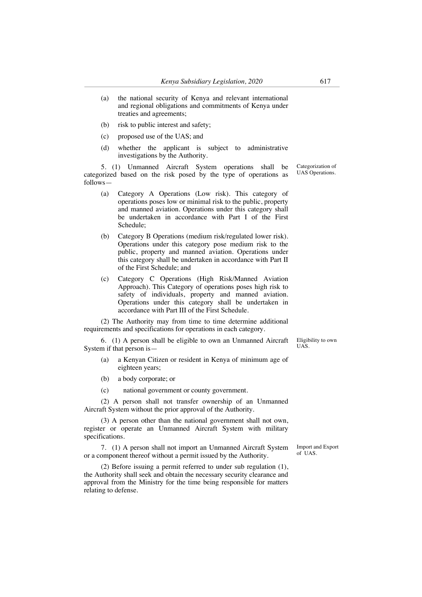- (a) the national security of Kenya and relevant international and regional obligations and commitments of Kenya under treaties and agreements;
- (b) risk to public interest and safety;
- (c) proposed use of the UAS; and
- (d) whether the applicant is subject to administrative investigations by the Authority.

5. (1) Unmanned Aircraft System operations shall be categorized based on the risk posed by the type of operations as follows—

- (a) Category A Operations (Low risk). This category of operations poses low or minimal risk to the public, property and manned aviation. Operations under this category shall be undertaken in accordance with Part I of the First Schedule;
- (b) Category B Operations (medium risk/regulated lower risk). Operations under this category pose medium risk to the public, property and manned aviation. Operations under this category shall be undertaken in accordance with Part II of the First Schedule; and
- (c) Category C Operations (High Risk/Manned Aviation Approach). This Category of operations poses high risk to safety of individuals, property and manned aviation. Operations under this category shall be undertaken in accordance with Part III of the First Schedule.

(2) The Authority may from time to time determine additional requirements and specifications for operations in each category.

6. (1) A person shall be eligible to own an Unmanned Aircraft System if that person is—

- (a) a Kenyan Citizen or resident in Kenya of minimum age of eighteen years;
- (b) a body corporate; or
- (c) national government or county government.

(2) A person shall not transfer ownership of an Unmanned Aircraft System without the prior approval of the Authority.

(3) A person other than the national government shall not own, register or operate an Unmanned Aircraft System with military specifications.

7. (1) A person shall not import an Unmanned Aircraft System or a component thereof without a permit issued by the Authority.

(2) Before issuing a permit referred to under sub regulation (1), the Authority shall seek and obtain the necessary security clearance and approval from the Ministry for the time being responsible for matters relating to defense.

Eligibility to own UAS.

Categorization of UAS Operations.

Import and Export of UAS.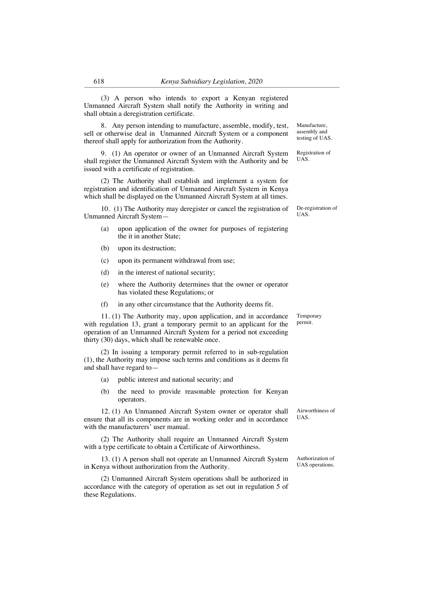(3) A person who intends to export a Kenyan registered Unmanned Aircraft System shall notify the Authority in writing and

8. Any person intending to manufacture, assemble, modify, test, sell or otherwise deal in Unmanned Aircraft System or a component thereof shall apply for authorization from the Authority.

9. (1) An operator or owner of an Unmanned Aircraft System shall register the Unmanned Aircraft System with the Authority and be issued with a certificate of registration.

(2) The Authority shall establish and implement a system for registration and identification of Unmanned Aircraft System in Kenya which shall be displayed on the Unmanned Aircraft System at all times.

10. (1) The Authority may deregister or cancel the registration of Unmanned Aircraft System—

- (a) upon application of the owner for purposes of registering the it in another State;
- (b) upon its destruction;

shall obtain a deregistration certificate.

- (c) upon its permanent withdrawal from use;
- (d) in the interest of national security;
- (e) where the Authority determines that the owner or operator has violated these Regulations; or
- (f) in any other circumstance that the Authority deems fit.

11. (1) The Authority may, upon application, and in accordance with regulation 13, grant a temporary permit to an applicant for the operation of an Unmanned Aircraft System for a period not exceeding thirty (30) days, which shall be renewable once.

(2) In issuing a temporary permit referred to in sub-regulation (1), the Authority may impose such terms and conditions as it deems fit and shall have regard to—

- (a) public interest and national security; and
- (b) the need to provide reasonable protection for Kenyan operators.

12. (1) An Unmanned Aircraft System owner or operator shall ensure that all its components are in working order and in accordance with the manufacturers' user manual.

(2) The Authority shall require an Unmanned Aircraft System with a type certificate to obtain a Certificate of Airworthiness.

13. (1) A person shall not operate an Unmanned Aircraft System in Kenya without authorization from the Authority.

(2) Unmanned Aircraft System operations shall be authorized in accordance with the category of operation as set out in regulation 5 of these Regulations.

Airworthiness of UAS.

Authorization of UAS operations.

De-registration of UAS.

Manufacture, assembly and testing of UAS.

Registration of UAS.

Temporary permit.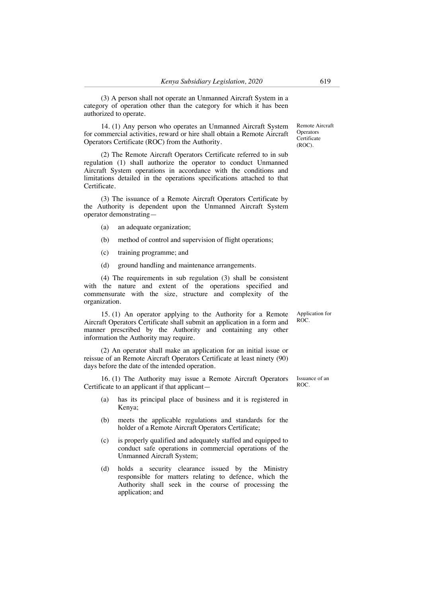(3) A person shall not operate an Unmanned Aircraft System in a category of operation other than the category for which it has been authorized to operate.

14. (1) Any person who operates an Unmanned Aircraft System for commercial activities, reward or hire shall obtain a Remote Aircraft Operators Certificate (ROC) from the Authority.

(2) The Remote Aircraft Operators Certificate referred to in sub regulation (1) shall authorize the operator to conduct Unmanned Aircraft System operations in accordance with the conditions and limitations detailed in the operations specifications attached to that Certificate.

(3) The issuance of a Remote Aircraft Operators Certificate by the Authority is dependent upon the Unmanned Aircraft System operator demonstrating—

- (a) an adequate organization;
- (b) method of control and supervision of flight operations;
- (c) training programme; and
- (d) ground handling and maintenance arrangements.

(4) The requirements in sub regulation (3) shall be consistent with the nature and extent of the operations specified and commensurate with the size, structure and complexity of the organization.

15. (1) An operator applying to the Authority for a Remote Aircraft Operators Certificate shall submit an application in a form and manner prescribed by the Authority and containing any other information the Authority may require.

(2) An operator shall make an application for an initial issue or reissue of an Remote Aircraft Operators Certificate at least ninety (90) days before the date of the intended operation.

16. (1) The Authority may issue a Remote Aircraft Operators Certificate to an applicant if that applicant—

- (a) has its principal place of business and it is registered in Kenya;
- (b) meets the applicable regulations and standards for the holder of a Remote Aircraft Operators Certificate;
- (c) is properly qualified and adequately staffed and equipped to conduct safe operations in commercial operations of the Unmanned Aircraft System;
- (d) holds a security clearance issued by the Ministry responsible for matters relating to defence, which the Authority shall seek in the course of processing the application; and

Remote Aircraft **Operators Certificate** (ROC).

Application for ROC.

Issuance of an ROC.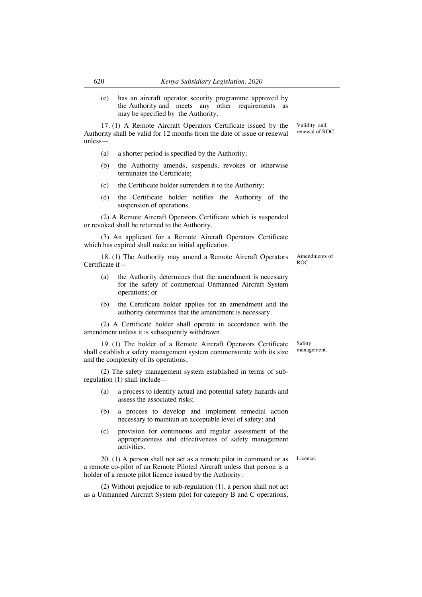(e) has an aircraft operator security programme approved by the Authority and meets any other requirements as may be specified by the Authority.

17. (1) A Remote Aircraft Operators Certificate issued by the Authority shall be valid for 12 months from the date of issue or renewal unless—

- (a) a shorter period is specified by the Authority;
- (b) the Authority amends, suspends, revokes or otherwise terminates the Certificate;
- (c) the Certificate holder surrenders it to the Authority;
- (d) the Certificate holder notifies the Authority of the suspension of operations.

(2) A Remote Aircraft Operators Certificate which is suspended or revoked shall be returned to the Authority.

(3) An applicant for a Remote Aircraft Operators Certificate which has expired shall make an initial application.

18. (1) The Authority may amend a Remote Aircraft Operators Certificate if—

- (a) the Authority determines that the amendment is necessary for the safety of commercial Unmanned Aircraft System operations; or
- (b) the Certificate holder applies for an amendment and the authority determines that the amendment is necessary.

(2) A Certificate holder shall operate in accordance with the amendment unless it is subsequently withdrawn.

19. (1) The holder of a Remote Aircraft Operators Certificate shall establish a safety management system commensurate with its size and the complexity of its operations,

(2) The safety management system established in terms of subregulation (1) shall include—

- (a) a process to identify actual and potential safety hazards and assess the associated risks;
- (b) a process to develop and implement remedial action necessary to maintain an acceptable level of safety; and
- (c) provision for continuous and regular assessment of the appropriateness and effectiveness of safety management activities.

20. (1) A person shall not act as a remote pilot in command or as a remote co-pilot of an Remote Piloted Aircraft unless that person is a holder of a remote pilot licence issued by the Authority.

(2) Without prejudice to sub-regulation (1), a person shall not act as a Unmanned Aircraft System pilot for category B and C operations,

Safety management.

Amendments of ROC.

Licence.

Validity and renewal of ROC.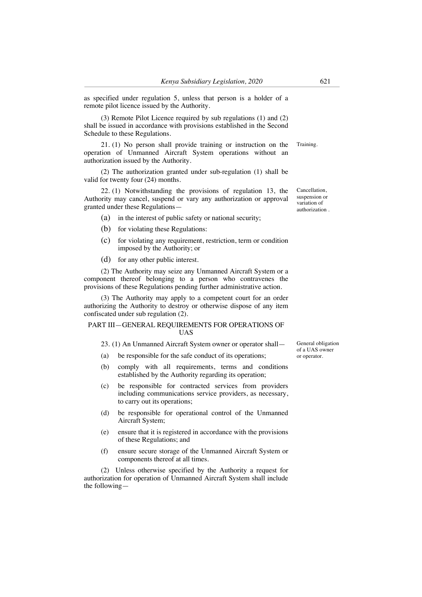as specified under regulation 5, unless that person is a holder of a remote pilot licence issued by the Authority.

(3) Remote Pilot Licence required by sub regulations (1) and (2) shall be issued in accordance with provisions established in the Second Schedule to these Regulations.

21. (1) No person shall provide training or instruction on the operation of Unmanned Aircraft System operations without an authorization issued by the Authority. Training.

(2) The authorization granted under sub-regulation (1) shall be valid for twenty four (24) months.

22. (1) Notwithstanding the provisions of regulation 13, the Authority may cancel, suspend or vary any authorization or approval granted under these Regulations—

- (a) in the interest of public safety or national security;
- (b) for violating these Regulations:
- (c) for violating any requirement, restriction, term or condition imposed by the Authority; or
- (d) for any other public interest.

(2) The Authority may seize any Unmanned Aircraft System or a component thereof belonging to a person who contravenes the provisions of these Regulations pending further administrative action.

(3) The Authority may apply to a competent court for an order authorizing the Authority to destroy or otherwise dispose of any item confiscated under sub regulation (2).

#### PART III—GENERAL REQUIREMENTS FOR OPERATIONS OF UAS

# 23. (1) An Unmanned Aircraft System owner or operator shall—

- (a) be responsible for the safe conduct of its operations;
- (b) comply with all requirements, terms and conditions established by the Authority regarding its operation;
- (c) be responsible for contracted services from providers including communications service providers, as necessary, to carry out its operations;
- (d) be responsible for operational control of the Unmanned Aircraft System;
- (e) ensure that it is registered in accordance with the provisions of these Regulations; and
- (f) ensure secure storage of the Unmanned Aircraft System or components thereof at all times.

(2) Unless otherwise specified by the Authority a request for authorization for operation of Unmanned Aircraft System shall include the following—

General obligation of a UAS owner or operator.

Cancellation, suspension or variation of authorization .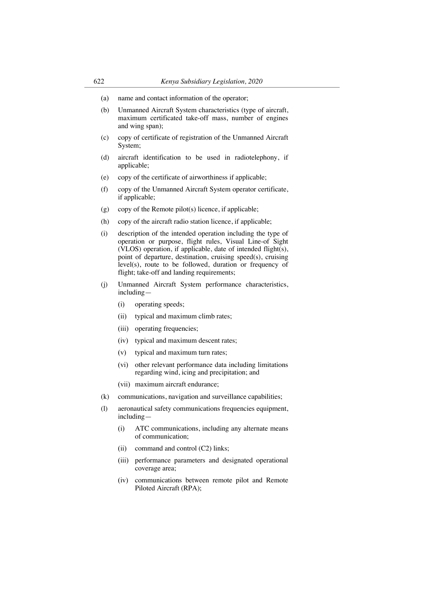- (a) name and contact information of the operator;
- (b) Unmanned Aircraft System characteristics (type of aircraft, maximum certificated take-off mass, number of engines and wing span);
- (c) copy of certificate of registration of the Unmanned Aircraft System;
- (d) aircraft identification to be used in radiotelephony, if applicable;
- (e) copy of the certificate of airworthiness if applicable;
- (f) copy of the Unmanned Aircraft System operator certificate, if applicable;
- (g) copy of the Remote pilot(s) licence, if applicable;
- (h) copy of the aircraft radio station licence, if applicable;
- (i) description of the intended operation including the type of operation or purpose, flight rules, Visual Line-of Sight (VLOS) operation, if applicable, date of intended flight(s), point of departure, destination, cruising speed(s), cruising level(s), route to be followed, duration or frequency of flight; take-off and landing requirements;
- (j) Unmanned Aircraft System performance characteristics, including—
	- (i) operating speeds;
	- (ii) typical and maximum climb rates;
	- (iii) operating frequencies;
	- (iv) typical and maximum descent rates;
	- (v) typical and maximum turn rates;
	- (vi) other relevant performance data including limitations regarding wind, icing and precipitation; and
	- (vii) maximum aircraft endurance;
- (k) communications, navigation and surveillance capabilities;
- (l) aeronautical safety communications frequencies equipment, including—
	- (i) ATC communications, including any alternate means of communication;
	- (ii) command and control (C2) links;
	- (iii) performance parameters and designated operational coverage area;
	- (iv) communications between remote pilot and Remote Piloted Aircraft (RPA);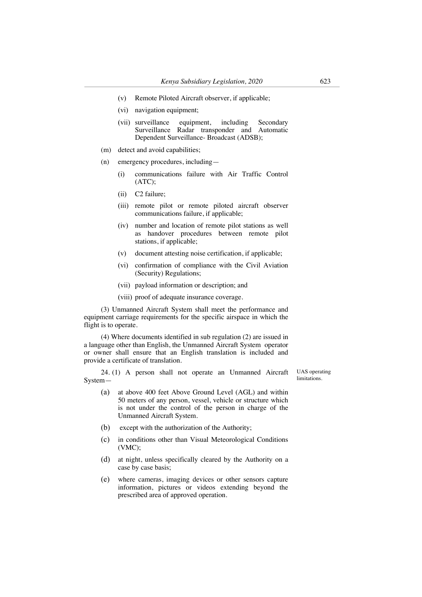- (v) Remote Piloted Aircraft observer, if applicable;
- (vi) navigation equipment;
- (vii) surveillance equipment, including Secondary Surveillance Radar transponder and Automatic Dependent Surveillance- Broadcast (ADSB);
- (m) detect and avoid capabilities;
- (n) emergency procedures, including—
	- (i) communications failure with Air Traffic Control (ATC);
	- (ii) C2 failure;
	- (iii) remote pilot or remote piloted aircraft observer communications failure, if applicable;
	- (iv) number and location of remote pilot stations as well as handover procedures between remote pilot stations, if applicable;
	- (v) document attesting noise certification, if applicable;
	- (vi) confirmation of compliance with the Civil Aviation (Security) Regulations;
	- (vii) payload information or description; and
	- (viii) proof of adequate insurance coverage.

(3) Unmanned Aircraft System shall meet the performance and equipment carriage requirements for the specific airspace in which the flight is to operate.

(4) Where documents identified in sub regulation (2) are issued in a language other than English, the Unmanned Aircraft System operator or owner shall ensure that an English translation is included and provide a certificate of translation.

24. (1) A person shall not operate an Unmanned Aircraft SystemUAS operating **limitations** 

- (a) at above 400 feet Above Ground Level (AGL) and within 50 meters of any person, vessel, vehicle or structure which is not under the control of the person in charge of the Unmanned Aircraft System.
- (b) except with the authorization of the Authority;
- (c) in conditions other than Visual Meteorological Conditions (VMC);
- (d) at night, unless specifically cleared by the Authority on a case by case basis;
- (e) where cameras, imaging devices or other sensors capture information, pictures or videos extending beyond the prescribed area of approved operation.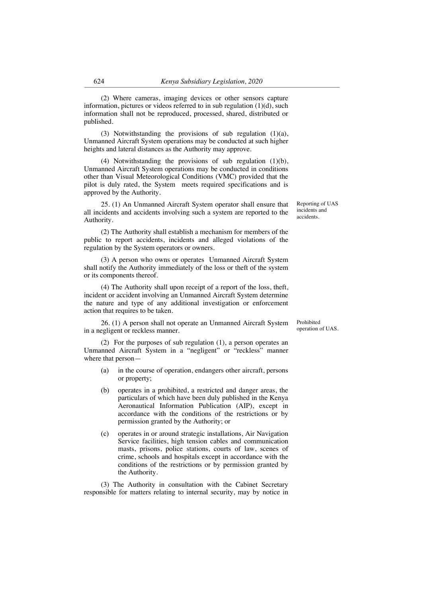(2) Where cameras, imaging devices or other sensors capture information, pictures or videos referred to in sub regulation  $(1)(d)$ , such information shall not be reproduced, processed, shared, distributed or published.

(3) Notwithstanding the provisions of sub regulation (1)(a), Unmanned Aircraft System operations may be conducted at such higher heights and lateral distances as the Authority may approve.

(4) Notwithstanding the provisions of sub regulation (1)(b), Unmanned Aircraft System operations may be conducted in conditions other than Visual Meteorological Conditions (VMC) provided that the pilot is duly rated, the System meets required specifications and is approved by the Authority.

25. (1) An Unmanned Aircraft System operator shall ensure that all incidents and accidents involving such a system are reported to the Authority.

(2) The Authority shall establish a mechanism for members of the public to report accidents, incidents and alleged violations of the regulation by the System operators or owners.

(3) A person who owns or operates Unmanned Aircraft System shall notify the Authority immediately of the loss or theft of the system or its components thereof.

(4) The Authority shall upon receipt of a report of the loss, theft, incident or accident involving an Unmanned Aircraft System determine the nature and type of any additional investigation or enforcement action that requires to be taken.

26. (1) A person shall not operate an Unmanned Aircraft System in a negligent or reckless manner.

(2) For the purposes of sub regulation (1), a person operates an Unmanned Aircraft System in a "negligent" or "reckless" manner where that person—

- (a) in the course of operation, endangers other aircraft, persons or property;
- (b) operates in a prohibited, a restricted and danger areas, the particulars of which have been duly published in the Kenya Aeronautical Information Publication (AIP), except in accordance with the conditions of the restrictions or by permission granted by the Authority; or
- (c) operates in or around strategic installations, Air Navigation Service facilities, high tension cables and communication masts, prisons, police stations, courts of law, scenes of crime, schools and hospitals except in accordance with the conditions of the restrictions or by permission granted by the Authority.

(3) The Authority in consultation with the Cabinet Secretary responsible for matters relating to internal security, may by notice in Prohibited operation of UAS.

Reporting of UAS incidents and accidents.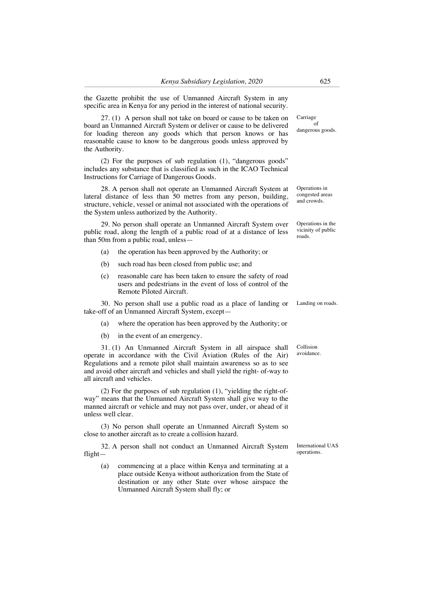the Gazette prohibit the use of Unmanned Aircraft System in any specific area in Kenya for any period in the interest of national security.

27. (1) A person shall not take on board or cause to be taken on board an Unmanned Aircraft System or deliver or cause to be delivered for loading thereon any goods which that person knows or has reasonable cause to know to be dangerous goods unless approved by the Authority.

(2) For the purposes of sub regulation (1), "dangerous goods" includes any substance that is classified as such in the ICAO Technical Instructions for Carriage of Dangerous Goods.

28. A person shall not operate an Unmanned Aircraft System at lateral distance of less than 50 metres from any person, building, structure, vehicle, vessel or animal not associated with the operations of the System unless authorized by the Authority.

29. No person shall operate an Unmanned Aircraft System over public road, along the length of a public road of at a distance of less than 50m from a public road, unless—

- (a) the operation has been approved by the Authority; or
- (b) such road has been closed from public use; and
- (c) reasonable care has been taken to ensure the safety of road users and pedestrians in the event of loss of control of the Remote Piloted Aircraft.

30. No person shall use a public road as a place of landing or take-off of an Unmanned Aircraft System, except—

- (a) where the operation has been approved by the Authority; or
- (b) in the event of an emergency.

31. (1) An Unmanned Aircraft System in all airspace shall operate in accordance with the Civil Aviation (Rules of the Air) Regulations and a remote pilot shall maintain awareness so as to see and avoid other aircraft and vehicles and shall yield the right- of-way to all aircraft and vehicles.

(2) For the purposes of sub regulation (1), "yielding the right-ofway" means that the Unmanned Aircraft System shall give way to the manned aircraft or vehicle and may not pass over, under, or ahead of it unless well clear.

(3) No person shall operate an Unmanned Aircraft System so close to another aircraft as to create a collision hazard.

32. A person shall not conduct an Unmanned Aircraft System flight—

(a) commencing at a place within Kenya and terminating at a place outside Kenya without authorization from the State of destination or any other State over whose airspace the Unmanned Aircraft System shall fly; or

Carriage ້ດf dangerous goods.

Operations in congested areas and crowds.

Operations in the vicinity of public roads.

Landing on roads.

Collision avoidance.

International UAS operations.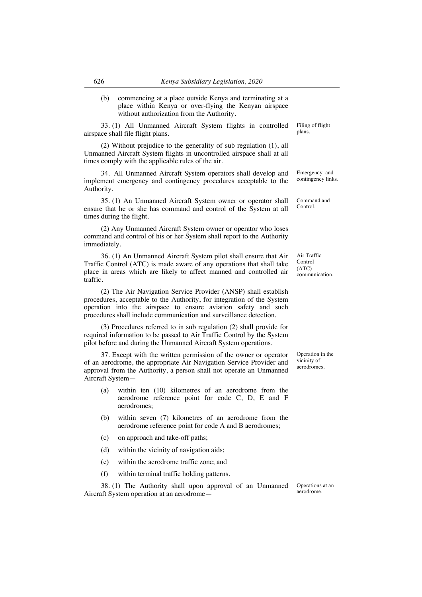(b) commencing at a place outside Kenya and terminating at a place within Kenya or over-flying the Kenyan airspace without authorization from the Authority.

33. (1) All Unmanned Aircraft System flights in controlled airspace shall file flight plans.

(2) Without prejudice to the generality of sub regulation (1), all Unmanned Aircraft System flights in uncontrolled airspace shall at all times comply with the applicable rules of the air.

34. All Unmanned Aircraft System operators shall develop and implement emergency and contingency procedures acceptable to the Authority.

35. (1) An Unmanned Aircraft System owner or operator shall ensure that he or she has command and control of the System at all times during the flight.

(2) Any Unmanned Aircraft System owner or operator who loses command and control of his or her System shall report to the Authority immediately.

36. (1) An Unmanned Aircraft System pilot shall ensure that Air Traffic Control (ATC) is made aware of any operations that shall take place in areas which are likely to affect manned and controlled air traffic.

(2) The Air Navigation Service Provider (ANSP) shall establish procedures, acceptable to the Authority, for integration of the System operation into the airspace to ensure aviation safety and such procedures shall include communication and surveillance detection.

(3) Procedures referred to in sub regulation (2) shall provide for required information to be passed to Air Traffic Control by the System pilot before and during the Unmanned Aircraft System operations.

37. Except with the written permission of the owner or operator of an aerodrome, the appropriate Air Navigation Service Provider and approval from the Authority, a person shall not operate an Unmanned Aircraft System—

- (a) within ten (10) kilometres of an aerodrome from the aerodrome reference point for code C, D, E and F aerodromes;
- (b) within seven (7) kilometres of an aerodrome from the aerodrome reference point for code A and B aerodromes;
- (c) on approach and take-off paths;
- (d) within the vicinity of navigation aids;
- (e) within the aerodrome traffic zone; and
- (f) within terminal traffic holding patterns.

38. (1) The Authority shall upon approval of an Unmanned Aircraft System operation at an aerodrome—

Operations at an aerodrome.

Operation in the vicinity of aerodromes.

Emergency and contingency links.

Filing of flight plans.

Command and Control.

Air Traffic Control (ATC) communication.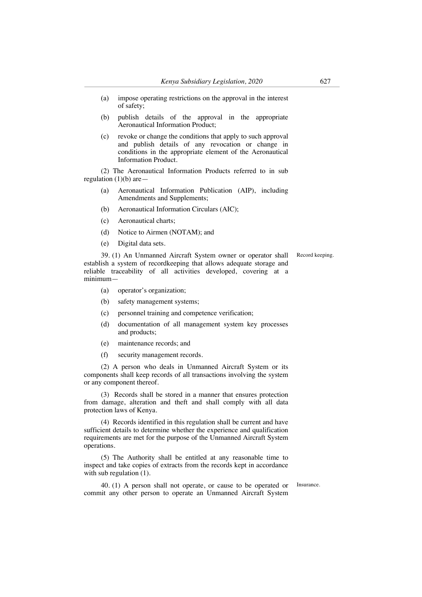- (a) impose operating restrictions on the approval in the interest of safety;
- (b) publish details of the approval in the appropriate Aeronautical Information Product;
- (c) revoke or change the conditions that apply to such approval and publish details of any revocation or change in conditions in the appropriate element of the Aeronautical Information Product.

(2) The Aeronautical Information Products referred to in sub regulation  $(1)(b)$  are —

- (a) Aeronautical Information Publication (AIP), including Amendments and Supplements;
- (b) Aeronautical Information Circulars (AIC);
- (c) Aeronautical charts;
- (d) Notice to Airmen (NOTAM); and
- (e) Digital data sets.

39. (1) An Unmanned Aircraft System owner or operator shall establish a system of recordkeeping that allows adequate storage and reliable traceability of all activities developed, covering at a minimum—

- (a) operator's organization;
- (b) safety management systems;
- (c) personnel training and competence verification;
- (d) documentation of all management system key processes and products;
- (e) maintenance records; and
- (f) security management records.

(2) A person who deals in Unmanned Aircraft System or its components shall keep records of all transactions involving the system or any component thereof.

(3) Records shall be stored in a manner that ensures protection from damage, alteration and theft and shall comply with all data protection laws of Kenya.

(4) Records identified in this regulation shall be current and have sufficient details to determine whether the experience and qualification requirements are met for the purpose of the Unmanned Aircraft System operations.

(5) The Authority shall be entitled at any reasonable time to inspect and take copies of extracts from the records kept in accordance with sub regulation (1).

40. (1) A person shall not operate, or cause to be operated or commit any other person to operate an Unmanned Aircraft System

Insurance.

Record keeping.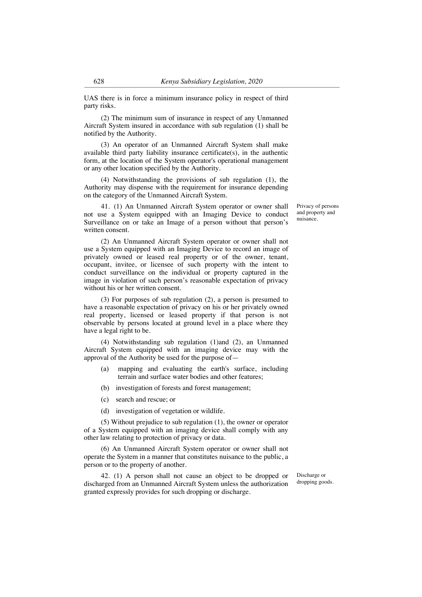UAS there is in force a minimum insurance policy in respect of third party risks.

(2) The minimum sum of insurance in respect of any Unmanned Aircraft System insured in accordance with sub regulation (1) shall be notified by the Authority.

(3) An operator of an Unmanned Aircraft System shall make available third party liability insurance certificate(s), in the authentic form, at the location of the System operator's operational management or any other location specified by the Authority.

(4) Notwithstanding the provisions of sub regulation (1), the Authority may dispense with the requirement for insurance depending on the category of the Unmanned Aircraft System.

41. (1) An Unmanned Aircraft System operator or owner shall not use a System equipped with an Imaging Device to conduct Surveillance on or take an Image of a person without that person's written consent.

(2) An Unmanned Aircraft System operator or owner shall not use a System equipped with an Imaging Device to record an image of privately owned or leased real property or of the owner, tenant, occupant, invitee, or licensee of such property with the intent to conduct surveillance on the individual or property captured in the image in violation of such person's reasonable expectation of privacy without his or her written consent.

(3) For purposes of sub regulation (2), a person is presumed to have a reasonable expectation of privacy on his or her privately owned real property, licensed or leased property if that person is not observable by persons located at ground level in a place where they have a legal right to be.

(4) Notwithstanding sub regulation (1)and (2), an Unmanned Aircraft System equipped with an imaging device may with the approval of the Authority be used for the purpose of—

- (a) mapping and evaluating the earth's surface, including terrain and surface water bodies and other features;
- (b) investigation of forests and forest management;
- (c) search and rescue; or
- (d) investigation of vegetation or wildlife.

(5) Without prejudice to sub regulation (1), the owner or operator of a System equipped with an imaging device shall comply with any other law relating to protection of privacy or data.

(6) An Unmanned Aircraft System operator or owner shall not operate the System in a manner that constitutes nuisance to the public, a person or to the property of another.

42. (1) A person shall not cause an object to be dropped or discharged from an Unmanned Aircraft System unless the authorization granted expressly provides for such dropping or discharge.

Discharge or dropping goods.

Privacy of persons and property and nuisance.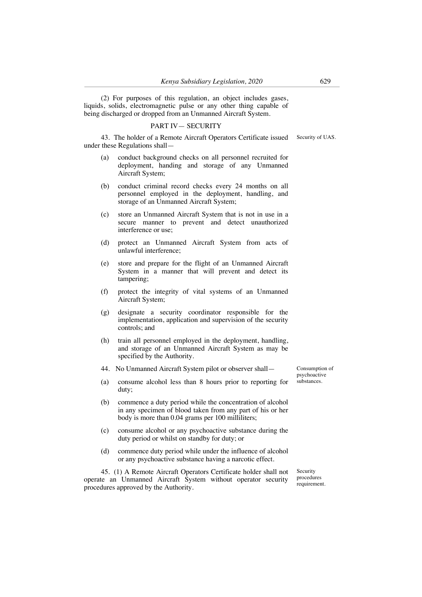(2) For purposes of this regulation, an object includes gases, liquids, solids, electromagnetic pulse or any other thing capable of being discharged or dropped from an Unmanned Aircraft System.

## PART IV— SECURITY

43. The holder of a Remote Aircraft Operators Certificate issued under these Regulations shall—

- (a) conduct background checks on all personnel recruited for deployment, handing and storage of any Unmanned Aircraft System;
- (b) conduct criminal record checks every 24 months on all personnel employed in the deployment, handling, and storage of an Unmanned Aircraft System;
- (c) store an Unmanned Aircraft System that is not in use in a secure manner to prevent and detect unauthorized interference or use;
- (d) protect an Unmanned Aircraft System from acts of unlawful interference;
- (e) store and prepare for the flight of an Unmanned Aircraft System in a manner that will prevent and detect its tampering;
- (f) protect the integrity of vital systems of an Unmanned Aircraft System;
- (g) designate a security coordinator responsible for the implementation, application and supervision of the security controls; and
- (h) train all personnel employed in the deployment, handling, and storage of an Unmanned Aircraft System as may be specified by the Authority.
- 44. No Unmanned Aircraft System pilot or observer shall—
- (a) consume alcohol less than 8 hours prior to reporting for duty;
- (b) commence a duty period while the concentration of alcohol in any specimen of blood taken from any part of his or her body is more than 0.04 grams per 100 milliliters;
- (c) consume alcohol or any psychoactive substance during the duty period or whilst on standby for duty; or
- (d) commence duty period while under the influence of alcohol or any psychoactive substance having a narcotic effect.

45. (1) A Remote Aircraft Operators Certificate holder shall not operate an Unmanned Aircraft System without operator security procedures approved by the Authority.

Consumption of psychoactive substances.

Security procedures requirement.

Security of UAS.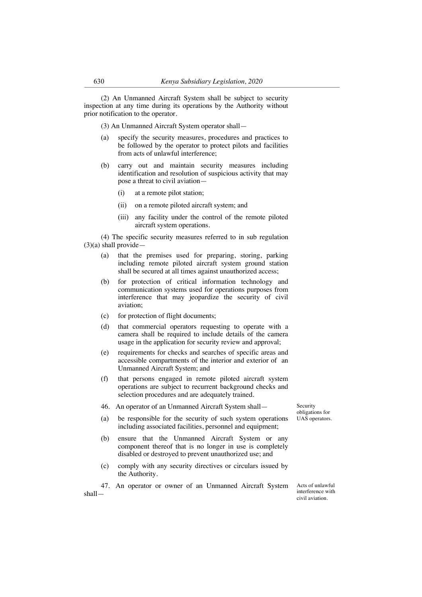(2) An Unmanned Aircraft System shall be subject to security inspection at any time during its operations by the Authority without prior notification to the operator.

(3) An Unmanned Aircraft System operator shall—

- (a) specify the security measures, procedures and practices to be followed by the operator to protect pilots and facilities from acts of unlawful interference;
- (b) carry out and maintain security measures including identification and resolution of suspicious activity that may pose a threat to civil aviation—
	- (i) at a remote pilot station;
	- (ii) on a remote piloted aircraft system; and
	- (iii) any facility under the control of the remote piloted aircraft system operations.

(4) The specific security measures referred to in sub regulation  $(3)(a)$  shall provide—

- (a) that the premises used for preparing, storing, parking including remote piloted aircraft system ground station shall be secured at all times against unauthorized access;
- (b) for protection of critical information technology and communication systems used for operations purposes from interference that may jeopardize the security of civil aviation;
- (c) for protection of flight documents;
- (d) that commercial operators requesting to operate with a camera shall be required to include details of the camera usage in the application for security review and approval;
- (e) requirements for checks and searches of specific areas and accessible compartments of the interior and exterior of an Unmanned Aircraft System; and
- (f) that persons engaged in remote piloted aircraft system operations are subject to recurrent background checks and selection procedures and are adequately trained.
- 46. An operator of an Unmanned Aircraft System shall—
- (a) be responsible for the security of such system operations including associated facilities, personnel and equipment;
- (b) ensure that the Unmanned Aircraft System or any component thereof that is no longer in use is completely disabled or destroyed to prevent unauthorized use; and
- (c) comply with any security directives or circulars issued by the Authority.

47. An operator or owner of an Unmanned Aircraft System shall—

Acts of unlawful interference with civil aviation.

Security obligations for UAS operators.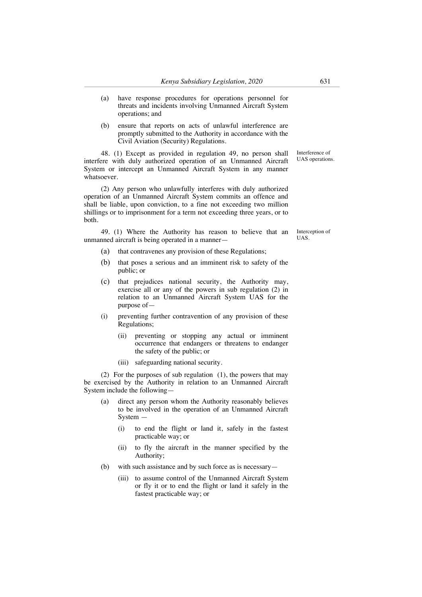- (a) have response procedures for operations personnel for threats and incidents involving Unmanned Aircraft System operations; and
- (b) ensure that reports on acts of unlawful interference are promptly submitted to the Authority in accordance with the Civil Aviation (Security) Regulations.

48. (1) Except as provided in regulation 49, no person shall interfere with duly authorized operation of an Unmanned Aircraft System or intercept an Unmanned Aircraft System in any manner whatsoever.

(2) Any person who unlawfully interferes with duly authorized operation of an Unmanned Aircraft System commits an offence and shall be liable, upon conviction, to a fine not exceeding two million shillings or to imprisonment for a term not exceeding three years, or to both.

49. (1) Where the Authority has reason to believe that an unmanned aircraft is being operated in a mannerInterception of UAS.

Interference of UAS operations.

- (a) that contravenes any provision of these Regulations;
- (b) that poses a serious and an imminent risk to safety of the public; or
- (c) that prejudices national security, the Authority may, exercise all or any of the powers in sub regulation (2) in relation to an Unmanned Aircraft System UAS for the purpose of—
- (i) preventing further contravention of any provision of these Regulations;
	- (ii) preventing or stopping any actual or imminent occurrence that endangers or threatens to endanger the safety of the public; or
	- (iii) safeguarding national security.

(2) For the purposes of sub regulation (1), the powers that may be exercised by the Authority in relation to an Unmanned Aircraft System include the following—

- direct any person whom the Authority reasonably believes to be involved in the operation of an Unmanned Aircraft System —
	- (i) to end the flight or land it, safely in the fastest practicable way; or
	- (ii) to fly the aircraft in the manner specified by the Authority;
- (b) with such assistance and by such force as is necessary—
	- (iii) to assume control of the Unmanned Aircraft System or fly it or to end the flight or land it safely in the fastest practicable way; or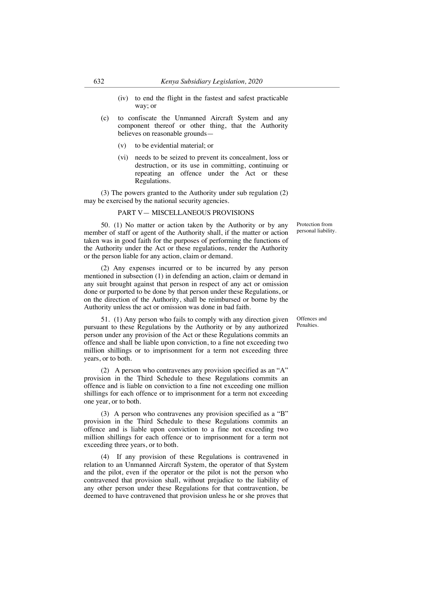- (iv) to end the flight in the fastest and safest practicable way; or
- (c) to confiscate the Unmanned Aircraft System and any component thereof or other thing, that the Authority believes on reasonable grounds—
	- (v) to be evidential material; or
	- (vi) needs to be seized to prevent its concealment, loss or destruction, or its use in committing, continuing or repeating an offence under the Act or these Regulations.

(3) The powers granted to the Authority under sub regulation (2) may be exercised by the national security agencies.

#### PART V— MISCELLANEOUS PROVISIONS

50. (1) No matter or action taken by the Authority or by any member of staff or agent of the Authority shall, if the matter or action taken was in good faith for the purposes of performing the functions of the Authority under the Act or these regulations, render the Authority or the person liable for any action, claim or demand.

(2) Any expenses incurred or to be incurred by any person mentioned in subsection (1) in defending an action, claim or demand in any suit brought against that person in respect of any act or omission done or purported to be done by that person under these Regulations, or on the direction of the Authority, shall be reimbursed or borne by the Authority unless the act or omission was done in bad faith.

51. (1) Any person who fails to comply with any direction given pursuant to these Regulations by the Authority or by any authorized person under any provision of the Act or these Regulations commits an offence and shall be liable upon conviction, to a fine not exceeding two million shillings or to imprisonment for a term not exceeding three years, or to both.

(2) A person who contravenes any provision specified as an "A" provision in the Third Schedule to these Regulations commits an offence and is liable on conviction to a fine not exceeding one million shillings for each offence or to imprisonment for a term not exceeding one year, or to both.

(3) A person who contravenes any provision specified as a "B" provision in the Third Schedule to these Regulations commits an offence and is liable upon conviction to a fine not exceeding two million shillings for each offence or to imprisonment for a term not exceeding three years, or to both.

(4) If any provision of these Regulations is contravened in relation to an Unmanned Aircraft System, the operator of that System and the pilot, even if the operator or the pilot is not the person who contravened that provision shall, without prejudice to the liability of any other person under these Regulations for that contravention, be deemed to have contravened that provision unless he or she proves that Protection from personal liability.

Offences and **Penalties**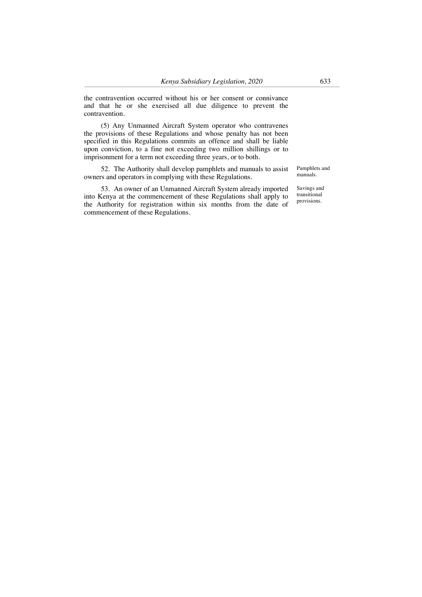the contravention occurred without his or her consent or connivance and that he or she exercised all due diligence to prevent the contravention.

(5) Any Unmanned Aircraft System operator who contravenes the provisions of these Regulations and whose penalty has not been specified in this Regulations commits an offence and shall be liable upon conviction, to a fine not exceeding two million shillings or to imprisonment for a term not exceeding three years, or to both.

52. The Authority shall develop pamphlets and manuals to assist owners and operators in complying with these Regulations.

53. An owner of an Unmanned Aircraft System already imported into Kenya at the commencement of these Regulations shall apply to the Authority for registration within six months from the date of commencement of these Regulations.

Pamphlets and manuals.

Savings and transitional provisions.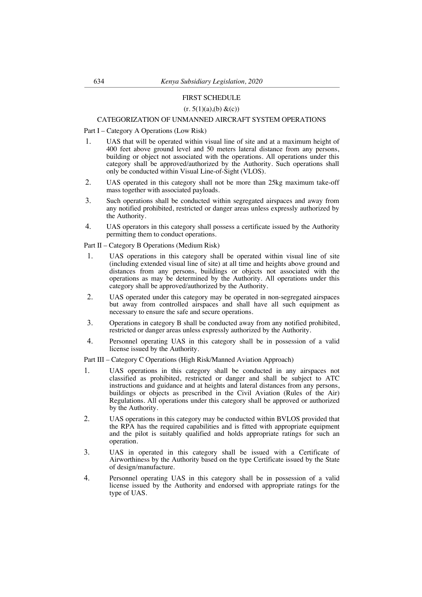#### FIRST SCHEDULE

#### $(r. 5(1)(a), (b) \& (c))$

## CATEGORIZATION OF UNMANNED AIRCRAFT SYSTEM OPERATIONS

Part I – Category A Operations (Low Risk)

- 1. UAS that will be operated within visual line of site and at a maximum height of 400 feet above ground level and 50 meters lateral distance from any persons, building or object not associated with the operations. All operations under this category shall be approved/authorized by the Authority. Such operations shall only be conducted within Visual Line-of-Sight (VLOS).
- 2. UAS operated in this category shall not be more than 25kg maximum take-off mass together with associated payloads.
- 3. Such operations shall be conducted within segregated airspaces and away from any notified prohibited, restricted or danger areas unless expressly authorized by the Authority.
- 4. UAS operators in this category shall possess a certificate issued by the Authority permitting them to conduct operations.

Part II – Category B Operations (Medium Risk)

- 1. UAS operations in this category shall be operated within visual line of site (including extended visual line of site) at all time and heights above ground and distances from any persons, buildings or objects not associated with the operations as may be determined by the Authority. All operations under this category shall be approved/authorized by the Authority.
- 2. UAS operated under this category may be operated in non-segregated airspaces but away from controlled airspaces and shall have all such equipment as necessary to ensure the safe and secure operations.
- 3. Operations in category B shall be conducted away from any notified prohibited, restricted or danger areas unless expressly authorized by the Authority.
- 4. Personnel operating UAS in this category shall be in possession of a valid license issued by the Authority.

Part III – Category C Operations (High Risk/Manned Aviation Approach)

- 1. UAS operations in this category shall be conducted in any airspaces not classified as prohibited, restricted or danger and shall be subject to ATC instructions and guidance and at heights and lateral distances from any persons, buildings or objects as prescribed in the Civil Aviation (Rules of the Air) Regulations. All operations under this category shall be approved or authorized by the Authority.
- 2. UAS operations in this category may be conducted within BVLOS provided that the RPA has the required capabilities and is fitted with appropriate equipment and the pilot is suitably qualified and holds appropriate ratings for such an operation.
- 3. UAS in operated in this category shall be issued with a Certificate of Airworthiness by the Authority based on the type Certificate issued by the State of design/manufacture.
- 4. Personnel operating UAS in this category shall be in possession of a valid license issued by the Authority and endorsed with appropriate ratings for the type of UAS.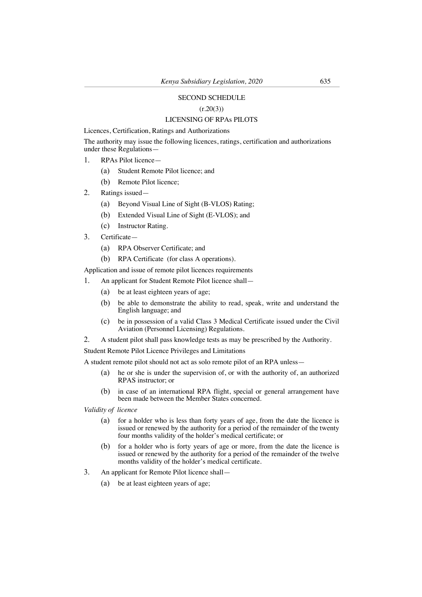## SECOND SCHEDULE

## $(r.20(3))$

# LICENSING OF RPAs PILOTS

Licences, Certification, Ratings and Authorizations

The authority may issue the following licences, ratings, certification and authorizations under these Regulations—

- 1. RPAs Pilot licence—
	- (a) Student Remote Pilot licence; and
	- (b) Remote Pilot licence;
- 2. Ratings issued—
	- (a) Beyond Visual Line of Sight (B-VLOS) Rating;
	- (b) Extended Visual Line of Sight (E-VLOS); and
	- (c) Instructor Rating.
- 3. Certificate—
	- (a) RPA Observer Certificate; and
	- (b) RPA Certificate (for class A operations).

Application and issue of remote pilot licences requirements

- 1. An applicant for Student Remote Pilot licence shall—
	- (a) be at least eighteen years of age;
	- (b) be able to demonstrate the ability to read, speak, write and understand the English language; and
	- (c) be in possession of a valid Class 3 Medical Certificate issued under the Civil Aviation (Personnel Licensing) Regulations.
- 2. A student pilot shall pass knowledge tests as may be prescribed by the Authority.

Student Remote Pilot Licence Privileges and Limitations

A student remote pilot should not act as solo remote pilot of an RPA unless—

- (a) he or she is under the supervision of, or with the authority of, an authorized RPAS instructor; or
- (b) in case of an international RPA flight, special or general arrangement have been made between the Member States concerned.

*Validity of licence*

- (a) for a holder who is less than forty years of age, from the date the licence is issued or renewed by the authority for a period of the remainder of the twenty four months validity of the holder's medical certificate; or
- (b) for a holder who is forty years of age or more, from the date the licence is issued or renewed by the authority for a period of the remainder of the twelve months validity of the holder's medical certificate.
- 3. An applicant for Remote Pilot licence shall—
	- (a) be at least eighteen years of age;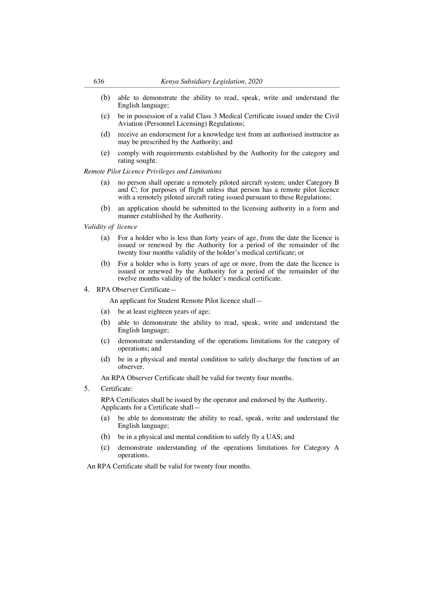- (b) able to demonstrate the ability to read, speak, write and understand the English language;
- (c) be in possession of a valid Class 3 Medical Certificate issued under the Civil Aviation (Personnel Licensing) Regulations;
- (d) receive an endorsement for a knowledge test from an authorised instructor as may be prescribed by the Authority; and
- (e) comply with requirements established by the Authority for the category and rating sought.

*Remote Pilot Licence Privileges and Limitations* 

- (a) no person shall operate a remotely piloted aircraft system; under Category B and C; for purposes of flight unless that person has a remote pilot licence with a remotely piloted aircraft rating issued pursuant to these Regulations;
- (b) an application should be submitted to the licensing authority in a form and manner established by the Authority.

*Validity of licence*

- (a) For a holder who is less than forty years of age, from the date the licence is issued or renewed by the Authority for a period of the remainder of the twenty four months validity of the holder's medical certificate; or
- (b) For a holder who is forty years of age or more, from the date the licence is issued or renewed by the Authority for a period of the remainder of the twelve months validity of the holder's medical certificate.
- 4. RPA Observer Certificate—

An applicant for Student Remote Pilot licence shall—

- (a) be at least eighteen years of age;
- (b) able to demonstrate the ability to read, speak, write and understand the English language;
- (c) demonstrate understanding of the operations limitations for the category of operations; and
- (d) be in a physical and mental condition to safely discharge the function of an observer.

An RPA Observer Certificate shall be valid for twenty four months.

5. Certificate:

RPA Certificates shall be issued by the operator and endorsed by the Authority. Applicants for a Certificate shall—

- (a) be able to demonstrate the ability to read, speak, write and understand the English language;
- (b) be in a physical and mental condition to safely fly a UAS; and
- (c) demonstrate understanding of the operations limitations for Category A operations.

An RPA Certificate shall be valid for twenty four months.